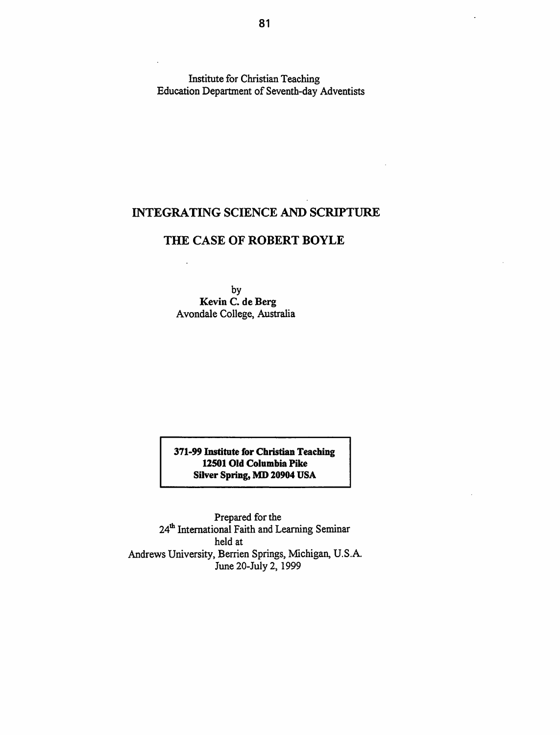Institute for Christian Teaching Education Department of Seventh-day Adventists

# INTEGRATING SCIENCE AND SCRIPTURE

# THE CASE OF ROBERT BOYLE

by Kevin C. de Berg Avondale College, Australia

371-99 Institute for Christian Teaching 12501 Old Columbia Pike Silver Spring, MD 20904 USA

Prepared for the 24<sup>th</sup> International Faith and Learning Seminar held at Andrews University, Berrien Springs, Michigan, U.S.A. June 20-July 2, 1999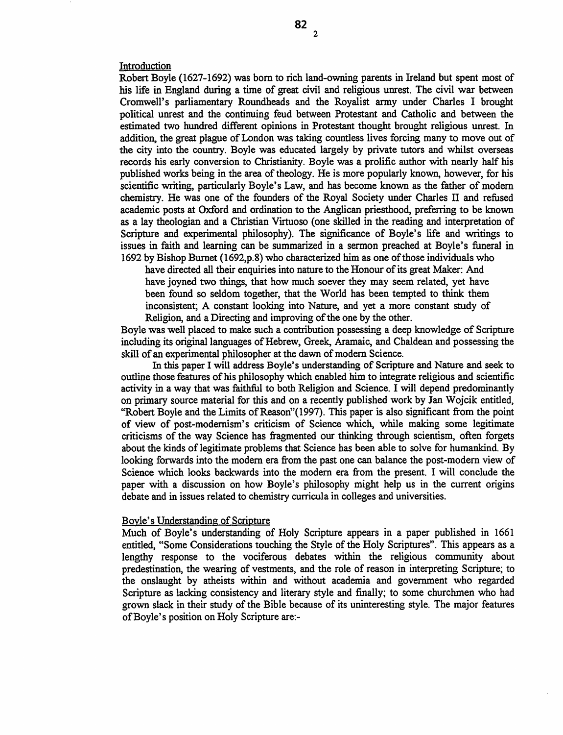Introduction

Robert Boyle (1627-1692) was born to rich land-owning parents in Ireland but spent most of his life in England during a time of great civil and religious unrest. The civil war between Cromwell's parliamentary Roundheads and the Royalist anny under Charles I brought political unrest and the continuing feud between Protestant and Catholic and between the estimated two hundred different opinions in Protestant thought brought religious unrest. In addition, the great plague of London was taking countless lives forcing many to move out of the city into the country. Boyle was educated largely by private tutors and whilst overseas records his early conversion to Christianity. Boyle was a prolific author with nearly half his published works being in the area of theology. He is more popularly known, however, for his scientific writing, particularly Boyle's Law, and has become known as the father of modem chemistry. He was one of the founders of the Royal Society under Charles IT and refused academic posts at Oxford and ordination to the Anglican priesthood, preferring to be known as a lay theologian and a Christian Virtuoso (one skilled in the reading and interpretation of Scripture and experimental philosophy). The significance of Boyle's life and writings to issues in faith and learning can be summarized in a sermon preached at Boyle's funeral in 1692 by Bishop Burnet (1692,p.8) who characterized him as one of those individuals who

have directed all their enquiries into nature to the Honour of its great Maker: And have joyned two things, that how much soever they may seem related, yet have been found so seldom together, that the World has been tempted to think them inconsistent; A constant looking into Nature, and yet a more constant study of Religion, and a Directing and improving of the one by the other.

Boyle was well placed to make such a contribution possessing a deep knowledge of Scripture including its original languages of Hebrew, Greek, Aramaic, and Chaldean and possessing the skill of an experimental philosopher at the dawn of modem Science.

In this paper I will address Boyle's understanding of Scripture and Nature and seek to outline those features of his philosophy which enabled him to integrate religious and scientific activity in a way that was faithful to both Religion and Science. I will depend predominantly on primary source material for this and on a recently published work by Jan Wojcik entitled, "Robert Boyle and the Limits of Reason"(1997). This paper is also significant from the point of view of post-modernism's criticism of Science which, while making some legitimate criticisms of the way Science has fragmented our thinking through scientism, often forgets about the kinds of legitimate problems that Science has been able to solve for humankind. By looking forwards into the modem era from the past one can balance the post-modern view of Science which looks backwards into the modem era from the present. I will conclude the paper with a discussion on how Boyle's philosophy might help us in the current origins debate and in issues related to chemistry curricula in colleges and universities.

#### Boyle's Understanding of Scripture

Much of Boyle's understanding of Holy Scripture appears in a paper published in 1661 entitled, "Some Considerations touching the Style of the Holy Scriptures". This appears as a lengthy response to the vociferous debates within the religious community about predestination, the wearing of vestments, and the role of reason in interpreting Scripture; to the onslaught by atheists within and without academia and government who regarded Scripture as lacking consistency and literary style and finally; to some churchmen who had grown slack in their study of the Bible because of its uninteresting style. The major features of Boyle's position on Holy Scripture are:-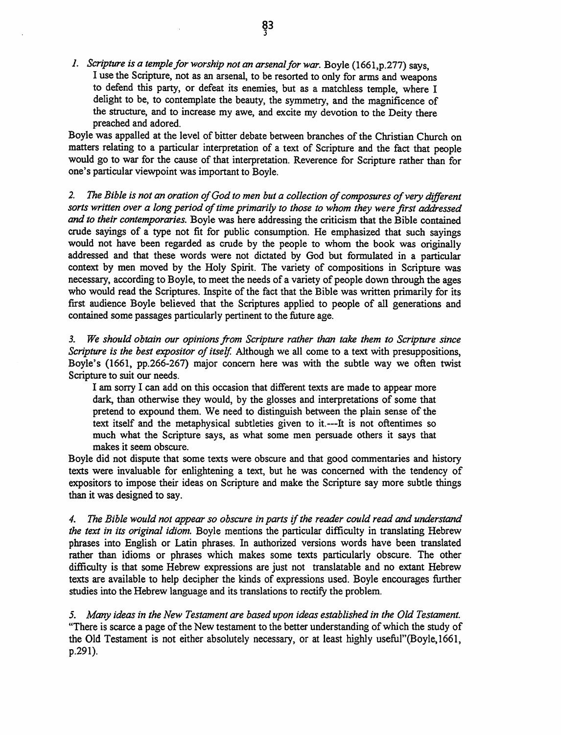*1.* Scripture is a temple for worship not an arsenal for war. Boyle (1661, p.277) says, I use the Scripture, not as an arsenal, to be resorted to only for arms and weapons to defend this party, or defeat its enemies, but as a matchless temple, where I delight to be, to contemplate the beauty, the symmetry, and the magnificence of the structure, and to increase my awe, and excite my devotion to the Deity there preached and adored.

Boyle was appalled at the level of bitter debate between branches of the Christian Church on matters relating to a particular interpretation of a text of Scripture and the fact that people would go to war for the cause of that interpretation. Reverence for Scripture rather than for one's particular viewpoint was important to Boyle.

*2. The Bible is not an oration of God to men but a collection of composures of very different sorts written over a long period of time primarily to those to whom they were first addressed*  and *to their contemporaries.* Boyle was here addressing the criticism that the Bible contained crude sayings of a type not fit for public consumption. He emphasized that such sayings would not have been regarded as crude by the people to whom the book was originally addressed and that these words were not dictated by God but formulated in a particular context by men moved by the Holy Spirit. The variety of compositions in Scripture was necessary, according to Boyle, to meet the needs of a variety of people down through the ages who would read the Scriptures. lnspite of the fact that the Bible was written primarily for its first audience Boyle believed that the Scriptures applied to people of all generations and contained some passages particularly pertinent to the future age.

*3. We should obtain our opinions from Scripture rather than take them to Scripture since Scripture is the best expositor of itself.* Although we all come to a text with presuppositions, Boyle's (1661, pp.266-267) major concern here was with the subtle way we often twist Scripture to suit our needs.

I am sorry I can add on this occasion that different texts are made to appear more dark, than otherwise they would, by the glosses and interpretations of some that pretend to expound them. We need to distinguish between the plain sense of the text itself and the metaphysical subtleties given to it. ---It is not oftentimes so much what the Scripture says, as what some men persuade others it says that makes it seem obscure.

Boyle did not dispute that some texts were obscure and that good commentaries and history texts were invaluable for enlightening a text, but he was concerned with the tendency of expositors to impose their ideas on Scripture and make the Scripture say more subtle things than it was designed to say.

*4. The Bible would not appear so obscure in parts* if *the reader could read and understand the text in its original idiom.* Boyle mentions the particular difficulty in translating Hebrew phrases into English or Latin phrases. In authorized versions words have been translated rather than idioms or phrases which makes some texts particularly obscure. The other difficulty is that some Hebrew expressions are just not translatable and no extant Hebrew texts are available to help decipher the kinds of expressions used. Boyle encourages further studies into the Hebrew language and its translations to rectify the problem.

*5. Many ideas in the New Testament are based upon ideas established in the Old Testament.*  "There is scarce a page of the New testament to the better understanding of which the study of the Old Testament is not either absolutely necessary, or at least highly useful''(Boyle, 1661, p.291).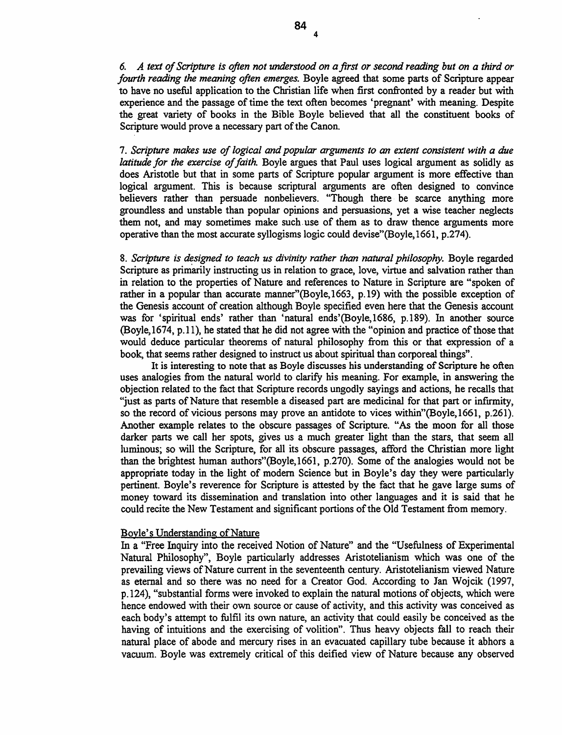*6. A text of Scripture is often not understood on a first or second reading but on a third or fourth reading the meaning often emerges.* Boyle agreed that some parts of Scripture appear to have no useful application to the Christian life when first confronted by a reader but with experience and the passage of time the text often becomes 'pregnant' with meaning. Despite the great variety of books in the Bible Boyle believed that all the constituent books of Scripture would prove a necessary part of the Canon.

4

7. *Scripture makes use of logical and popular arguments to an extent consistent with a due latitude for the exercise of faith.* Boyle argues that Paul uses logical argument as solidly as does Aristotle but that in some parts of Scripture popular argument is more effective than logical argument. This is because scriptural arguments are often designed to convince believers rather than persuade nonbelievers. "Though there be scarce anything more groundless and unstable than popular opinions and persuasions, yet a wise teacher neglects them not, and may sometimes make such. use of them as to draw thence arguments more operative than the most accurate syllogisms logic could devise"(Boyle, 1661, p.274).

8. *Scripture is designed to teach us divinity rather than natural philosophy.* Boyle regarded Scripture as primanly instructing us in relation to grace, love, virtue and salvation rather than in relation to the properties of Nature and references to Nature in Scripture are "spoken of rather in a popular than accurate manner''(Boyle,1663, p.19) with the possible exception of the Genesis account of creation although Boyle specified even here that the Genesis account was for 'spiritual ends' rather than 'natural ends'(Boyle,1686, p.189). In another source (Boyle,1674, p.ll), he stated that he did not agree with the "opinion and practice of those that would deduce particular theorems of natural philosophy from this or that expression of a book, that seems rather designed to instruct us about spiritual than corporeal things".

It is interesting to note that as Boyle discusses his understanding of Scripture he often uses analogies from the natural world to clarify his meaning. For example, in answering the objection related to the fact that Scripture records ungodly sayings and actions, he recalls that "just as parts of Nature that resemble a diseased part are medicinal for that part or infumity, so the record of vicious persons may prove an antidote to vices within"(Boyle,1661, p.261). Another example relates to the obscure passages of Scripture. "As the moon for all those darker parts we call her spots, gives us a much greater light than the stars, that seem all luminous; so will the Scripture, for all its obscure passages, afford the Christian more light than the brightest human authors"(Boyle,1661, p.270). Some of the analogies would not be appropriate today in the light of modem Science but in Boyle's day they were particularly pertinent. Boyle's reverence for Scripture is attested by the fact that he gave large sums of money toward its dissemination and translation into other languages and it is said that he could recite the New Testament and significant portions of the Old Testament from memory.

# Boyle's Understanding of Nature

In a "Free Inquiry into the received Notion of Nature" and the "Usefulness of Experimental Natural Philosophy", Boyle particularly addresses Aristotelianism which was one of the prevailing views of Nature current in the seventeenth century. Aristotelianism viewed Nature as eternal and so there was no need for a Creator God. According to Jan Wojcik (1997, p.124), "substantial forms were invoked to explain the natural motions of objects, which were hence endowed with their own source or cause of activity, and this activity was conceived as each body's attempt to fulfil its own nature, an activity that could easily be conceived as the having of intuitions and the exercising of volition". Thus heavy objects fall to reach their natural place of abode and mercury rises in an evacuated capillary tube because it abhors a vacuum. Boyle was extremely critical of this deified view of Nature because any observed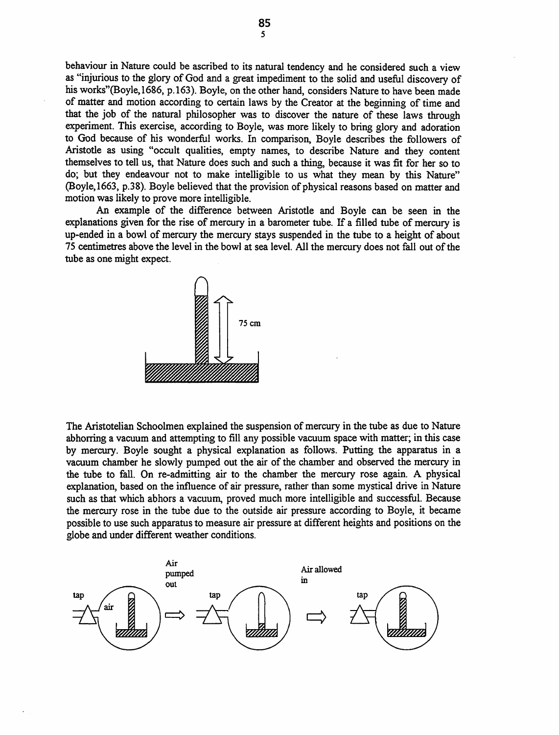behaviour in Nature could be ascribed to its natural tendency and he considered such a view as "injurious to the glory of God and a great impediment to the solid and useful discovery of his works" (Boyle, 1686, p.163). Boyle, on the other hand, considers Nature to have been made of matter and motion according to certain laws by the Creator at the beginning of time and that the job of the natural philosopher was to discover the nature of these laws through experiment. This exercise, according to Boyle, was more likely to bring glory and adoration to God because of his wonderful works. In comparison, Boyle describes the followers of Aristotle as using "occult qualities, empty names, to describe Nature and they content themselves to tell us, that Nature does such and such a thing, because it was fit for her so to do; but they endeavour not to make intelligible to us what they mean by this Nature" (Boyle,1663, p.38). Boyle believed that the provision of physical reasons based on matter and motion was likely to prove more intelligible.

An example of the difference between Aristotle and Boyle can be seen in the explanations given for the rise of mercury in a barometer tube. If a filled tube of mercury is up-ended in a bowl of mercury the mercury stays suspended in the tube to a height of about 75 centimetres above the level in the bowl at sea level. All the mercury does not fall out of the tube as one might expect.



The Aristotelian Schoolmen explained the suspension of mercury in the tube as due to Nature abhorring a vacuum and attempting to fill any possible vacuum space with matter; in this case by mercury. Boyle sought a physical explanation as follows. Putting the apparatus in a vacuum chamber he slowly pumped out the air of the chamber and observed the mercury in the tube to fall. On re-admitting air to the chamber the mercury rose again. A physical explanation, based on the influence of air pressure, rather than some mystical drive in Nature such as that which abhors a vacuum, proved much more intelligible and successful. Because the mercury rose in the tube due to the outside air pressure according to Boyle, it became possible to use such apparatus to measure air pressure at different heights and positions on the globe and under different weather conditions.

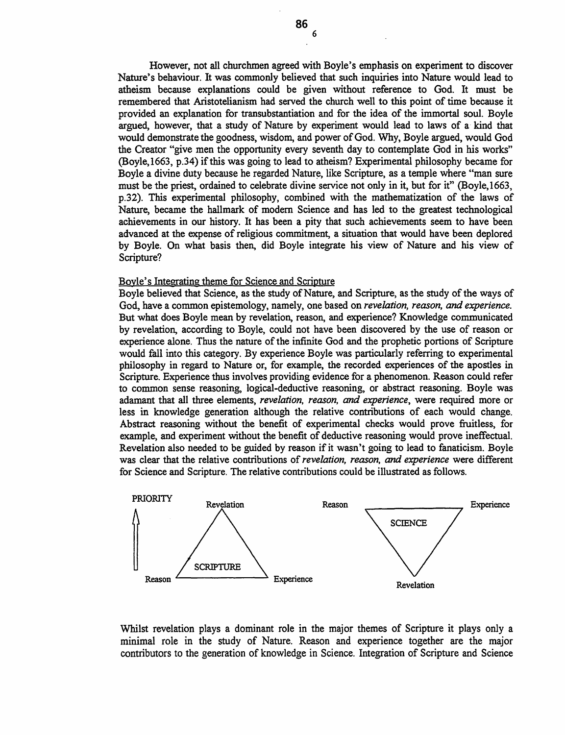However, not all churchmen agreed with Boyle's emphasis on experiment to discover Nature's behaviour. It was commonly believed that such inquiries into Nature would lead to atheism because explanations could be given without reference to God. It must be remembered that Aristotelianism had served the church well to this point of time because it provided an explanation for transubstantiation and for the idea of the immortal soul. Boyle argued, however, that a study of Nature by experiment would lead to laws of a kind that would demonstrate the goodness, wisdom, and power of God. Why, Boyle argued, would God the Creator "give men the opportunity every seventh day to contemplate God in his works'' (Boyle,1663, p.34) if this was going to lead to atheism? Experimental philosophy became for Boyle a divine duty because he regarded Nature, like Scripture, as a temple where "man sure must be the priest, ordained to celebrate divine service not only in it, but for it" (Boyle, 1663, p.32). This experimental philosophy, combined with the mathematization of the laws of Nature, became the hallmark of modern Science and has led to the greatest technological achievements in our history. It has been a pity that such achievements seem to have been advanced at the expense of religious commitment, a situation that would have been deplored by Boyle. On what basis then, did Boyle integrate his view of Nature and his view of Scripture?

# Boyle's Integrating theme for Science and Scripture

Boyle believed that Science, as the study of Nature, and Scripture, as the study of the ways of God, have a common epistemology, namely, one based on *revelation, reason, and experience.*  But what does Boyle mean by revelation, reason, and experience? Knowledge communicated by revelation, according to Boyle, could not have been discovered by the use of reason or experience alone. Thus the nature of the infinite God and the prophetic portions of Scripture would fall into this category. By experience Boyle was particularly referring to experimental philosophy in regard to Nature or, for example, the recorded experiences of the apostles in Scripture. Experience thus involves providing evidence for a phenomenon. Reason could refer to common sense reasoning, logical-deductive reasoning, or abstract reasoning. Boyle was adamant that all three elements, *revelation, reason, and experience,* were required more or less in knowledge generation although the relative contributions of each would change. Abstract reasoning without the benefit of experimental checks would prove fruitless, for example, and experiment without the benefit of deductive reasoning would prove ineffectual. Revelation also needed to be guided by reason if it wasn't going to lead to fanaticism. Boyle was clear that the relative contributions of *revelation, reason,* and *experience* were different for Science and Scripture. The relative contributions could be illustrated as follows.



Whilst revelation plays a dominant role in the major themes of Scripture it plays only a minimal role in the study of Nature. Reason and experience together are the major contributors to the generation of knowledge in Science. Integration of Scripture and Science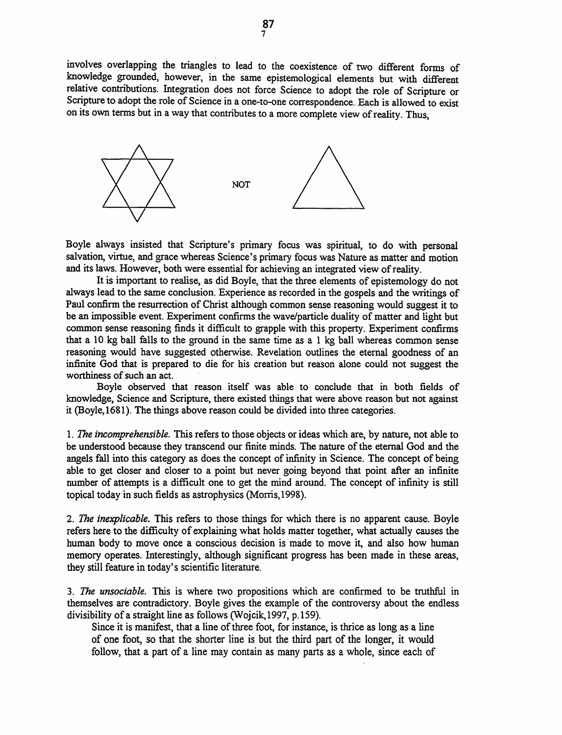involves overlapping the triangles to lead to the coexistence of two different forms of knowledge grounded, however, in the same epistemological elements but with different relative contributions. Integration does not force Science to adopt the role of Scripture or Scripture to adopt the role of Science in a one-to-one correspondence. Each is allowed to exist on its own terms but in a way that contributes to a more complete view of reality. Thus,



Boyle always insisted that Scripture's primary focus was spiritual, to do with personal salvation, virtue, and grace whereas Science's primary focus was Nature as matter and motion and its laws. However, both were essential for achieving an integrated view of reality.

It is important to realise, as did Boyle, that the three elements of epistemology do not always lead to the same conclusion. Experience as recorded in the gospels and the writings of Paul confirm the resurrection of Christ although common sense reasoning would suggest it to be an impossible event. Experiment confirms the wave/particle duality of matter and light but common sense reasoning finds it difficult to grapple with this property. Experiment confirms that a 10 kg ball falls to the ground in the same time as a 1 kg ball whereas common sense reasoning would have suggested otherwise. Revelation outlines the eternal goodness of an infinite God that is prepared to die for his creation but reason alone could not suggest the worthiness of such an act.

Boyle observed that reason itself was able to conclude that in both fields of knowledge, Science and Scripture, there existed things that were above reason but not against it (Boyle, 1681). The things above reason could be divided into three categories.

1. *The incomprehensible.* This refers to those objects or ideas which are, by nature, not able to be understood because they transcend our finite minds. The nature of the eternal God and the angels fall into this category as does the concept of infinity in Science. The concept of being able to get closer and closer to a point but never going beyond that point after an infinite number of attempts is a difficult one to get the mind around. The concept of infinity is still topical today in such fields as astrophysics (Morris, 1998).

2. *The inexplicable.* This refers to those things for which there is no apparent cause. Boyle refers here to the difficulty of explaining what holds matter together, what actually causes the human body to move once a conscious decision is made to move it, and also how human memory operates. Interestingly, although significant progress has been made in these areas, they still feature in today's scientific literature.

3. *The unsociable.* This is where two propositions which are confirmed to be truthful in themselves are contradictory. Boyle gives the example of the controversy about the endless divisibility of a straight line as follows (Wojcik, 1997, p.159).

Since it is manifest, that a line of three foot, for instance, is thrice as long as a line of one foot, so that the shorter line is but the third part of the longer, it would follow, that a part of a line may contain as many parts as a whole, since each of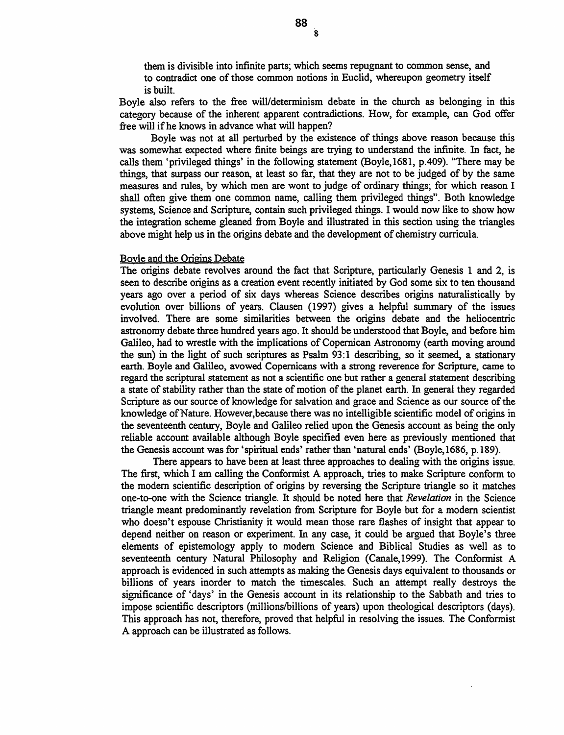them is divisible into infinite parts; which seems repugnant to common sense, and to contradict one of those common notions in Euclid, whereupon geometry itself is built.

Boyle also refers to the free will/determinism debate in the church as belonging in this category because of the inherent apparent contradictions. How, for example, can God offer free will if he knows in advance what will happen?

Boyle was not at all perturbed by the existence of things above reason because this was somewhat expected where finite beings are trying to understand the infinite. In fact, he calls them 'privileged things' in the following statement (Boyle,1681, p.409). "There may be things, that surpass our reason, at least so far, that they are not to be judged of by the same measures and rules, by which men are wont to judge of ordinary things; for which reason I shall often give them one common name, calling them privileged things". Both knowledge systems, Science and Scripture, contain such privileged things. I would now like to show how the integration scheme gleaned from Boyle and illustrated in this section using the triangles above might help us in the origins debate and the development of chemistry curricula.

#### Boyle and the Origins Debate

The origins debate revolves around the fact that Scripture, particularly Genesis 1 and 2, is seen to describe origins as a creation event recently initiated by God some six to ten thousand years ago over a period of six days whereas Science describes origins naturalistically by evolution over billions of years. Clausen ( 1997) gives a helpful summary of the issues involved. There are some similarities between the origins debate and the heliocentric astronomy debate three hundred years ago. It should be understood that Boyle, and before him Galileo, had to wrestle with the implications of Copernican Astronomy (earth moving around the sun) in the light of such scriptures as Psalm 93:1 describing, so it seemed, a stationary earth. Boyle and Galileo, avowed Copemicans with a strong reverence for Scripture, came to regard the scriptural statement as not a scientific one but rather a general statement describing a state of stability rather than the state of motion of the planet earth. In general they regarded Scripture as our source of knowledge for salvation and grace and Science as our source of the knowledge of Nature. However, because there was no intelligible scientific model of origins in the seventeenth century, Boyle and Galileo relied upon the Genesis account as being the only reliable account available although Boyle specified even here as previously mentioned that the Genesis account was for 'spiritual ends' rather than 'natural ends' (Boyle, 1686, p.189).

There appears to have been at least three approaches to dealing with the origins issue. The first, which I am calling the Conformist A approach, tries to make Scripture conform to the modern scientific description of origins by reversing the Scripture triangle so it matches one-to-one with the Science triangle. It should be noted here that *Revelation* in the Science triangle meant predominantly revelation from Scripture for Boyle but for a modern scientist who doesn't espouse Christianity it would mean those rare flashes of insight that appear to depend neither on reason or experiment. In any case, it could be argued that Boyle's three elements of epistemology apply to modem Science and Biblical Studies as well as to seventeenth century Natural Philosophy and Religion (Canale,1999). The Conformist A approach is evidenced in such attempts as making the Genesis days equivalent to thousands or billions of years inorder to match the timescales. Such an attempt really destroys the significance of 'days' in the Genesis account in its relationship to the Sabbath and tries to impose scientific descriptors (millions/billions of years) upon theological descriptors (days). This approach has not, therefore, proved that helpful in resolving the issues. The Conformist A approach can be illustrated as follows.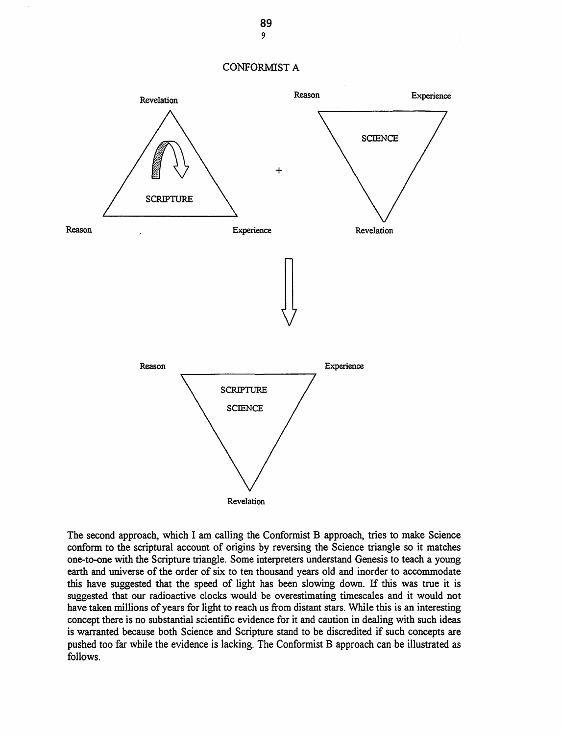



The second approach, which I am calling the Conformist B approach, tries to make Science conform to the scriptural account of origins by reversing the Science triangle so it matches one-to-one with the Scripture triangle. Some interpreters understand Genesis to teach a young earth and universe of the order of six to ten thousand years old and inorder to accommodate this have suggested that the speed of light has been slowing down. If this was true it is suggested that our radioactive clocks would be overestimating timescales and it would not have taken millions of years for light to reach us from distant stars. While this is an interesting concept there is no substantial scientific evidence for it and caution in dealing with such ideas is warranted because both Science and Scripture stand to be discredited if such concepts are pushed too far while the evidence is lacking. The Conformist B approach can be illustrated as follows.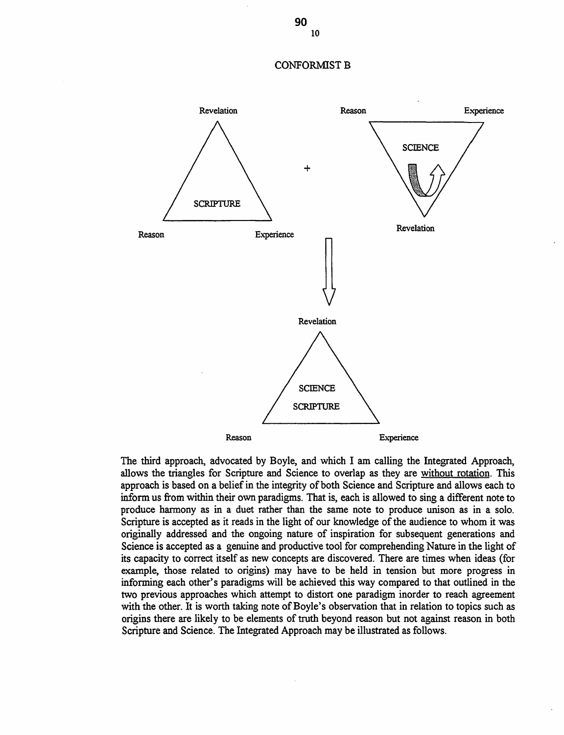#### CONFORMIST B



The third approach, advocated by Boyle, and which I am calling the Integrated Approach, allows the triangles for Scripture and Science to overlap as they are without rotation. This approach is based on a belief in the integrity of both Science and Scripture and allows each to inform us from within their own paradigms. That is, each is allowed to sing a different note to produce harmony as in a duet rather than the same note to produce unison as in a solo. Scripture is accepted as it reads in the light of our knowledge of the audience to whom it was originally addressed and the ongoing nature of inspiration for subsequent generations and Science is accepted as a genuine and productive tool for comprehending Nature in the light of its capacity to correct itself as new concepts are discovered. There are times when ideas (for example, those related to origins) may have to be held in tension but more progress in informing each other's paradigms will be achieved this way compared to that outlined in the two previous approaches which attempt to distort one paradigm inorder to reach agreement with the other. It is worth taking note of Boyle's observation that in relation to topics such as origins there are likely to be elements of truth beyond reason but not against reason in both Scripture and Science. The Integrated Approach may be illustrated as follows.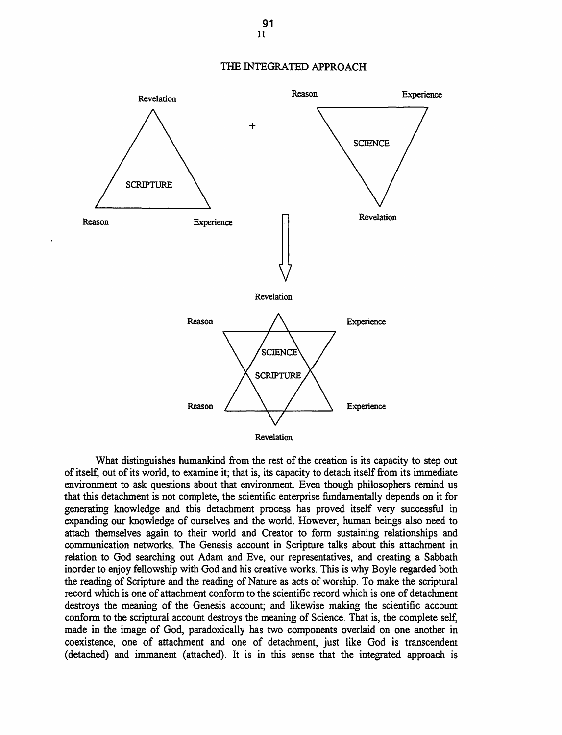



What distinguishes humankind from the rest of the creation is its capacity to step out of itself, out of its world, to examine it; that is, its capacity to detach itself from its immediate environment to ask questions about that environment. Even though philosophers remind us that this detachment is not complete, the scientific enterprise fundamentally depends on it for generating knowledge and this detachment process has proved itself very successful in expanding our knowledge of ourselves and the world. However, human beings also need to attach themselves again to their world and Creator to form sustaining relationships and communication networks. The Genesis account in Scripture talks about this attachment in relation to God searching out Adam and Eve, our representatives, and creating a Sabbath inorder to enjoy fellowship with God and his creative works. This is why Boyle regarded both the reading of Scripture and the reading of Nature as acts of worship. To make the scriptural record which is one of attachment conform to the scientific record which is one of detachment destroys the meaning of the Genesis account; and likewise making the scientific account conform to the scriptural account destroys the meaning of Science. That is, the complete self, made in the image of God, paradoxically has two components overlaid on one another in coexistence, one of attachment and one of detachment, just like God is transcendent (detached) and immanent (attached). It is in this sense that the integrated approach is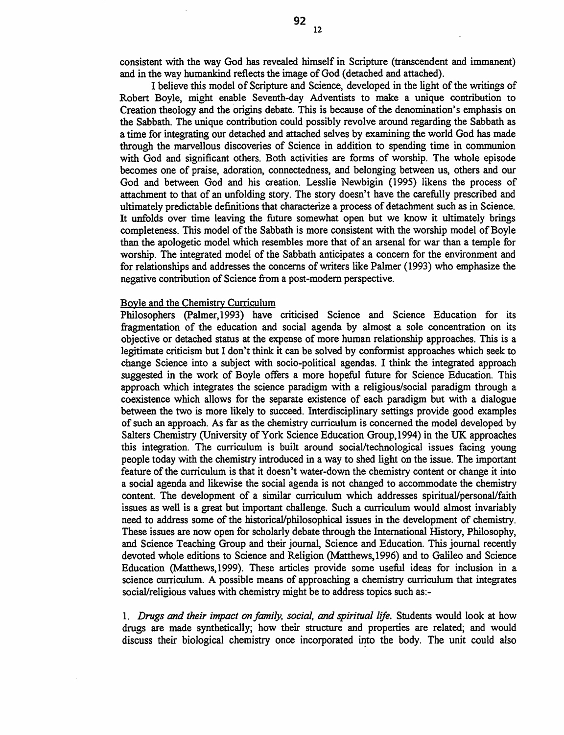consistent with the way God has revealed himself in Scripture (transcendent and immanent) and in the way humankind reflects the image of God (detached and attached).

I believe this model of Scripture and Science, developed in the light of the writings of Robert Boyle, might enable Seventh-day Adventists to make a unique contribution to Creation theology and the origins debate. This is because of the denomination's emphasis on the Sabbath. The unique contribution could possibly revolve around regarding the Sabbath as a time for integrating our detached and attached selves by examining the world God has made through the marvellous discoveries of Science in addition to spending time in communion with God and significant others. Both activities are forms of worship. The whole episode becomes one of praise, adoration, connectedness, and belonging between us, others and our God and between God and his creation. Lesslie Newbigin (1995) likens the process of attachment to that of an unfolding story. The story doesn't have the carefully prescribed and ultimately predictable definitions that characterize a process of detachment such as in Science. It unfolds over time leaving the future somewhat open but we know it ultimately brings completeness. This model of the Sabbath is more consistent with the worship model of Boyle than the apologetic model which resembles more that of an arsenal for war than a temple for worship. The integrated model of the Sabbath anticipates a concern for the environment and for relationships and addresses the concerns of writers like Palmer (1993) who emphasize the negative contribution of Science from a post-modem perspective.

## Boyle and the Chemistry Curriculum

Philosophers (Palmer, 1993) have criticised Science and Science Education for its fragmentation of the education and social agenda by almost a sole concentration on its objective or detached status at the expense of more human relationship approaches. This is a legitimate criticism but I don't think it can be solved by conformist approaches which seek to change Science into a subject with socio-political agendas. I think the integrated approach suggested in the work of Boyle offers a more hopeful future for Science Education. This approach which integrates the science paradigm with a religious/social paradigm through a coexistence which allows for the separate existence of each paradigm but with a dialogue between the two is more likely to succeed. Interdisciplinary settings provide good examples of such an approach. As far as the chemistry curriculum is concerned the model developed by Salters Chemistry (University of York Science Education Group,1994) in the UK approaches this integration. The curriculum is built around social/technological issues facing young people today with the chemistry introduced in a way to shed light on the issue. The important feature of the curriculum is that it doesn't water-down the chemistry content or change it into a social agenda and likewise the social agenda is not changed to accommodate the chemistry content. The development of a similar curriculum which addresses spiritual/personal/faith issues as well is a great but important challenge. Such a curriculum would almost invariably need to address some of the historical/philosophical issues in the development of chemistry. These issues are now open for scholarly debate through the International History, Philosophy, and Science Teaching Group and their journal, Science and Education. This journal recently devoted whole editions to Science and Religion (Matthews, 1996) and to Galileo and Science Education (Matthews, 1999). These articles provide some useful ideas for inclusion in a science curriculum. A possible means of approaching a chemistry curriculum that integrates social/religious values with chemistry might be to address topics such as:-

1. *Drugs and their impact on family, social, and spiritual life.* Students would look at how drugs are made synthetically; how their structure and properties are related; and would discuss their biological chemistry once incorporated into the body. The unit could also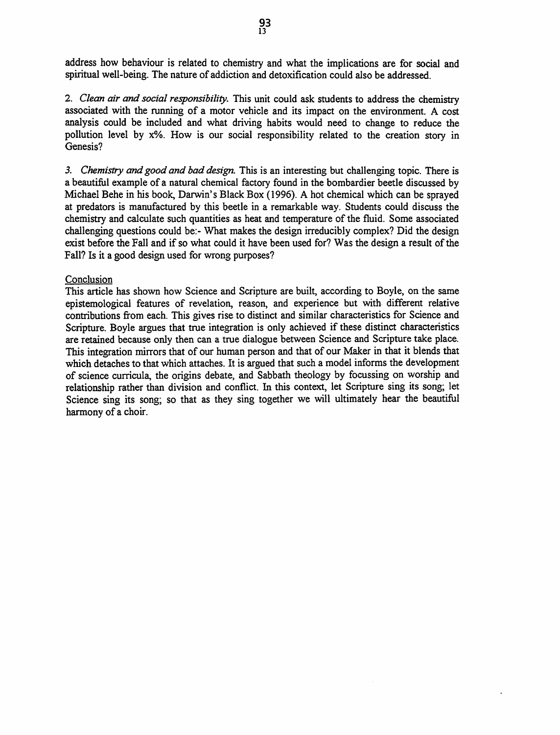address how behaviour is related to chemistry and what the implications are for social and spiritual well-being. The nature of addiction and detoxification could also be addressed.

2. *Clean air and social responsibility.* This unit could ask students to address the chemistry associated with the running of a motor vehicle and its impact on the environment. A cost analysis could be included and what driving habits would need to change to reduce the pollution level by x%. How is our social responsibility related to the creation story in Genesis?

*3. Chemistry* and *good and bad design.* This is an interesting but challenging topic. There is a beautiful example of a natural chemical factory found in the bombardier beetle discussed by Michael Behe in his book, Darwin's Black Box (1996). A hot chemical which can be sprayed at predators is manufactured by this beetle in a remarkable way. Students could discuss the chemistry and calculate such quantities as heat and temperature of the fluid. Some associated challenging questions could be:- What makes the design irreducibly complex? Did the design exist before the Fall and if so what could it have been used for? Was the design a result of the Fall? Is it a good design used for wrong purposes?

## **Conclusion**

This article has shown how Science and Scripture are built, according to Boyle, on the same epistemological features of revelation, reason, and experience but with. different relative contributions from each. This gives rise to distinct and similar characteristics for Science and Scripture. Boyle argues that true integration is only achieved if these distinct characteristics are retained because only then can a true dialogue between Science and Scripture take place. This integration mirrors that of our human person and that of our Maker in that it blends that which detaches to that which attaches. It is argued that such a model informs the development of science curricula, the origins debate, and Sabbath theology by focussing on worship and relationship rather than division and conflict. In this context, let Scripture sing its song; let Science sing its song; so that as they sing together we will ultimately hear the beautiful harmony of a choir.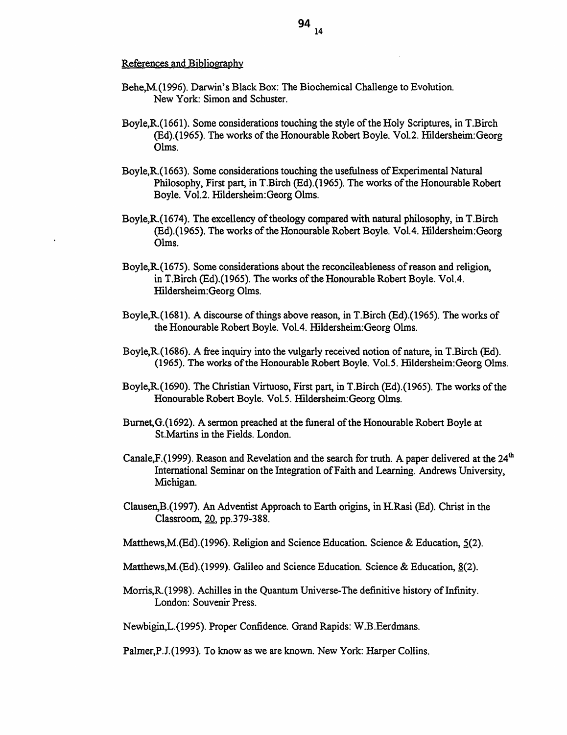#### References and Bibliography

- Behe,M.(1996). Darwin's Black Box: The Biochemical Challenge to Evolution. New York: Simon and Schuster.
- Boyle,R.(1661). Some considerations touching the style of the Holy Scriptures, in T.Birch (Ed).(1965). The works of the Honourable Robert Boyle. Vol.2. Hildersheim:Georg Olms.
- Boyle, R. (1663). Some considerations touching the usefulness of Experimental Natural Philosophy, First part, in T.Birch (Ed).(1965). The works of the Honourable Robert Boyle. Vol.2. Hildersheim:Georg Olms.
- Boyle,R.(1674). The excellency of theology compared with natural philosophy, in T.Birch (Ed).(l965). The works of the Honourable Robert Boyle. Vo1.4. Hildersheim:Georg Olms.
- Boyle,R.(1675). Some considerations about the reconcileableness of reason and religion, in T.Birch (Ed).(1965). The works of the Honourable Robert Boyle. Vol.4. Hildersheim:Georg Olms.
- Boyle,R.(1681). A discourse of things above reason, in T.Birch (Ed).(1965). The works of the Honourable Robert Boyle. Vol.4. Hildersheim:Georg Olms.
- Boyle,R.(1686). A free inquiry into the wlgarly received notion of nature, in T.Birch (Ed). (1965). The works ofthe Honourable Robert Boyle. Vol.S. Hildersheim:Georg Olms.
- Boyle,R(1690). The Christian Virtuoso, First part, in T.Birch (Ed).{l965). The works of the Honourable Robert Boyle. Vol.S. Hildersheim:Georg Olms.
- Burnet,G.(l692). A sermon preached at the funeral of the Honourable Robert Boyle at St.Martins in the Fields. London.
- Canale, F. (1999). Reason and Revelation and the search for truth. A paper delivered at the  $24<sup>th</sup>$ International Seminar on the Integration ofFaith and Learning. Andrews University, Michigan.
- Clausen,B.(1997). An Adventist Approach to Earth origins, in H.Rasi (Ed). Christ in the Classroom, 20, pp.379-388.
- Matthews, M. (Ed). (1996). Religion and Science Education. Science & Education,  $5(2)$ .
- Matthews, M. (Ed). (1999). Galileo and Science Education. Science & Education,  $8(2)$ .
- Morris,R.(I998). Achilles in the Quantum Universe-The definitive history of Infinity. London: Souvenir Press.

Newbigin,L.(1995). Proper Confidence. Grand Rapids: W.B.Eerdmans.

Palmer,P.J.(1993). To know as we are known. New York: Harper Collins.